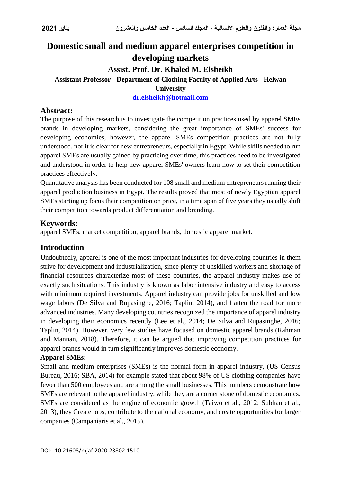# **Domestic small and medium apparel enterprises competition in developing markets Assist. Prof. Dr. Khaled M. Elsheikh Assistant Professor - Department of Clothing Faculty of Applied Arts - Helwan University [dr.elsheikh@hotmail.com](mailto:dr.elsheikh@hotmail.com)**

# **Abstract:**

The purpose of this research is to investigate the competition practices used by apparel SMEs brands in developing markets, considering the great importance of SMEs' success for developing economies, however, the apparel SMEs competition practices are not fully understood, nor it is clear for new entrepreneurs, especially in Egypt. While skills needed to run apparel SMEs are usually gained by practicing over time, this practices need to be investigated and understood in order to help new apparel SMEs' owners learn how to set their competition practices effectively.

Quantitative analysis has been conducted for 108 small and medium entrepreneurs running their apparel production business in Egypt. The results proved that most of newly Egyptian apparel SMEs starting up focus their competition on price, in a time span of five years they usually shift their competition towards product differentiation and branding.

# **Keywords:**

apparel SMEs, market competition, apparel brands, domestic apparel market.

# **Introduction**

Undoubtedly, apparel is one of the most important industries for developing countries in them strive for development and industrialization, since plenty of unskilled workers and shortage of financial resources characterize most of these countries, the apparel industry makes use of exactly such situations. This industry is known as labor intensive industry and easy to access with minimum required investments. Apparel industry can provide jobs for unskilled and low wage labors (De Silva and Rupasinghe, 2016; Taplin, 2014), and flatten the road for more advanced industries. Many developing countries recognized the importance of apparel industry in developing their economics recently (Lee et al., 2014; De Silva and Rupasinghe, 2016; Taplin, 2014). However, very few studies have focused on domestic apparel brands (Rahman and Mannan, 2018). Therefore, it can be argued that improving competition practices for apparel brands would in turn significantly improves domestic economy.

## **Apparel SMEs:**

Small and medium enterprises (SMEs) is the normal form in apparel industry, (US Census Bureau, 2016; SBA, 2014) for example stated that about 98% of US clothing companies have fewer than 500 employees and are among the small businesses. This numbers demonstrate how SMEs are relevant to the apparel industry, while they are a corner stone of domestic economics. SMEs are considered as the engine of economic growth (Taiwo et al., 2012; Subhan et al., 2013), they Create jobs, contribute to the national economy, and create opportunities for larger companies (Campaniaris et al., 2015).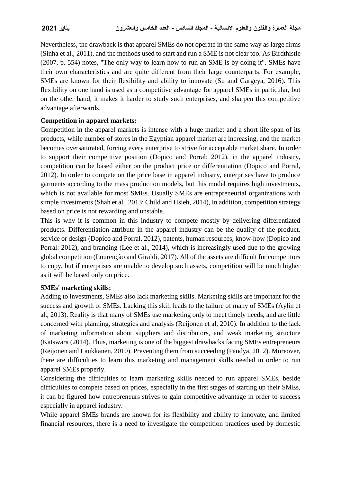Nevertheless, the drawback is that apparel SMEs do not operate in the same way as large firms (Sinha et al., 2011), and the methods used to start and run a SME is not clear too. As Birdthistle (2007, p. 554) notes, "The only way to learn how to run an SME is by doing it". SMEs have their own characteristics and are quite different from their large counterparts. For example, SMEs are known for their flexibility and ability to innovate (Su and Gargeya, 2016). This flexibility on one hand is used as a competitive advantage for apparel SMEs in particular, but on the other hand, it makes it harder to study such enterprises, and sharpen this competitive advantage afterwards.

# **Competition in apparel markets:**

Competition in the apparel markets is intense with a huge market and a short life span of its products, while number of stores in the Egyptian apparel market are increasing, and the market becomes oversaturated, forcing every enterprise to strive for acceptable market share. In order to support their competitive position (Dopico and Porral: 2012), in the apparel industry, competition can be based either on the product price or differentiation (Dopico and Porral, 2012). In order to compete on the price base in apparel industry, enterprises have to produce garments according to the mass production models, but this model requires high investments, which is not available for most SMEs. Usually SMEs are entrepreneurial organizations with simple investments (Shah et al., 2013; Child and Hsieh, 2014), In addition, competition strategy based on price is not rewarding and unstable.

This is why it is common in this industry to compete mostly by delivering differentiated products. Differentiation attribute in the apparel industry can be the quality of the product, service or design (Dopico and Porral, 2012), patents, human resources, know-how (Dopico and Porral: 2012), and branding (Lee et al., 2014), which is increasingly used due to the growing global competition (Lourenção and Giraldi, 2017). All of the assets are difficult for competitors to copy, but if enterprises are unable to develop such assets, competition will be much higher as it will be based only on price.

## **SMEs' marketing skills:**

Adding to investments, SMEs also lack marketing skills. Marketing skills are important for the success and growth of SMEs. Lacking this skill leads to the failure of many of SMEs (Aylin et al., 2013). Reality is that many of SMEs use marketing only to meet timely needs, and are little concerned with planning, strategies and analysis (Reijonen et al, 2010). In addition to the lack of marketing information about suppliers and distributors, and weak marketing structure (Katswara (2014). Thus, marketing is one of the biggest drawbacks facing SMEs entrepreneurs (Reijonen and Laukkanen, 2010). Preventing them from succeeding (Pandya, 2012). Moreover, there are difficulties to learn this marketing and management skills needed in order to run apparel SMEs properly.

Considering the difficulties to learn marketing skills needed to run apparel SMEs, beside difficulties to compete based on prices, especially in the first stages of starting up their SMEs, it can be figured how entrepreneurs strives to gain competitive advantage in order to success especially in apparel industry.

While apparel SMEs brands are known for its flexibility and ability to innovate, and limited financial resources, there is a need to investigate the competition practices used by domestic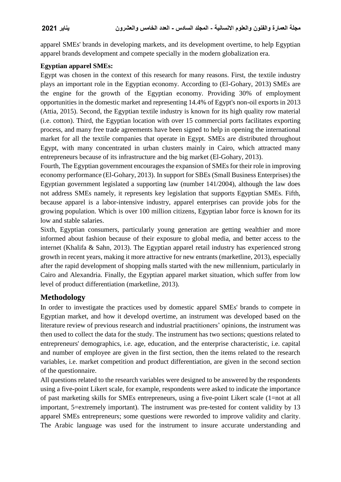apparel SMEs' brands in developing markets, and its development overtime, to help Egyptian apparel brands development and compete specially in the modern globalization era.

# **Egyptian apparel SMEs:**

Egypt was chosen in the context of this research for many reasons. First, the textile industry plays an important role in the Egyptian economy. According to (El-Gohary, 2013) SMEs are the engine for the growth of the Egyptian economy. Providing 30% of employment opportunities in the domestic market and representing 14.4% of Egypt's non-oil exports in 2013 (Attia, 2015). Second, the Egyptian textile industry is known for its high quality row material (i.e. cotton). Third, the Egyptian location with over 15 commercial ports facilitates exporting process, and many free trade agreements have been signed to help in opening the international market for all the textile companies that operate in Egypt. SMEs are distributed throughout Egypt, with many concentrated in urban clusters mainly in Cairo, which attracted many entrepreneurs because of its infrastructure and the big market (El-Gohary, 2013).

Fourth, The Egyptian government encourages the expansion of SMEs for their role in improving economy performance (El-Gohary, 2013). In support for SBEs (Small Business Enterprises) the Egyptian government legislated a supporting law (number 141/2004), although the law does not address SMEs namely, it represents key legislation that supports Egyptian SMEs. Fifth, because apparel is a labor-intensive industry, apparel enterprises can provide jobs for the growing population. Which is over 100 million citizens, Egyptian labor force is known for its low and stable salaries.

Sixth, Egyptian consumers, particularly young generation are getting wealthier and more informed about fashion because of their exposure to global media, and better access to the internet (Khalifa & Sahn, 2013). The Egyptian apparel retail industry has experienced strong growth in recent years, making it more attractive for new entrants (marketline, 2013), especially after the rapid development of shopping malls started with the new millennium, particularly in Cairo and Alexandria. Finally, the Egyptian apparel market situation, which suffer from low level of product differentiation (marketline, 2013).

# **Methodology**

In order to investigate the practices used by domestic apparel SMEs' brands to compete in Egyptian market, and how it developd overtime, an instrument was developed based on the literature review of previous research and industrial practitioners' opinions, the instrument was then used to collect the data for the study. The instrument has two sections; questions related to entrepreneurs' demographics, i.e. age, education, and the enterprise characteristic, i.e. capital and number of employee are given in the first section, then the items related to the research variables, i.e. market competition and product differentiation, are given in the second section of the questionnaire.

All questions related to the research variables were designed to be answered by the respondents using a five-point Likert scale, for example, respondents were asked to indicate the importance of past marketing skills for SMEs entrepreneurs, using a five-point Likert scale (1=not at all important, 5=extremely important). The instrument was pre-tested for content validity by 13 apparel SMEs entrepreneurs; some questions were reworded to improve validity and clarity. The Arabic language was used for the instrument to insure accurate understanding and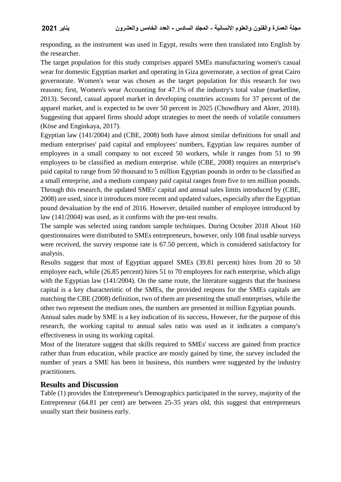responding, as the instrument was used in Egypt, results were then translated into English by the researcher.

The target population for this study comprises apparel SMEs manufacturing women's casual wear for domestic Egyptian market and operating in Giza governorate, a section of great Cairo governorate. Women's wear was chosen as the target population for this research for two reasons; first, Women's wear Accounting for 47.1% of the industry's total value (marketline, 2013). Second, casual apparel market in developing countries accounts for 37 percent of the apparel market, and is expected to be over 50 percent in 2025 (Chowdhury and Akter, 2018). Suggesting that apparel firms should adopt strategies to meet the needs of volatile consumers (Köse and Enginkaya, 2017).

Egyptian law (141/2004) and (CBE, 2008) both have almost similar definitions for small and medium enterprises' paid capital and employees' numbers, Egyptian law requires number of employees in a small company to not exceed 50 workers, while it ranges from 51 to 99 employees to be classified as medium enterprise. while (CBE, 2008) requires an enterprise's paid capital to range from 50 thousand to 5 million Egyptian pounds in order to be classified as a small enterprise, and a medium company paid capital ranges from five to ten million pounds. Through this research, the updated SMEs' capital and annual sales limits introduced by (CBE, 2008) are used, since it introduces more recent and updated values, especially after the Egyptian pound devaluation by the end of 2016. However, detailed number of employee introduced by law (141/2004) was used, as it confirms with the pre-test results.

The sample was selected using random sample techniques. During October 2018 About 160 questionnaires were distributed to SMEs entrepreneurs, however, only 108 final usable surveys were received, the survey response rate is 67.50 percent, which is considered satisfactory for analysis.

Results suggest that most of Egyptian apparel SMEs (39.81 percent) hires from 20 to 50 employee each, while (26.85 percent) hires 51 to 70 employees for each enterprise, which align with the Egyptian law (141/2004). On the same route, the literature suggests that the business capital is a key characteristic of the SMEs, the provided respons for the SMEs capitals are matching the CBE (2008) definition, two of them are presenting the small enterprises, while the other two represent the medium ones, the numbers are presented in million Egyptian pounds.

Annual sales made by SME is a key indication of its success, However, for the purpose of this research, the working capital to annual sales ratio was used as it indicates a company's effectiveness in using its working capital.

Most of the literature suggest that skills required to SMEs' success are gained from practice rather than from education, while practice are mostly gained by time, the survey included the number of years a SME has been in business, this numbers were suggested by the industry practitioners.

## **Results and Discussion**

Table (1) provides the Entrepreneur's Demographics participated in the survey, majority of the Entrepreneur (64.81 per cent) are between 25-35 years old, this suggest that entrepreneurs usually start their business early.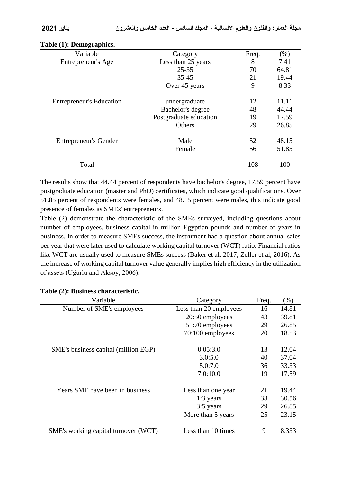| Variable                        | Category               | Freq. | $(\%)$ |
|---------------------------------|------------------------|-------|--------|
| Entrepreneur's Age              | Less than 25 years     | 8     | 7.41   |
|                                 | $25 - 35$              | 70    | 64.81  |
|                                 | 35-45                  | 21    | 19.44  |
|                                 | Over 45 years          | 9     | 8.33   |
| <b>Entrepreneur's Education</b> | undergraduate          | 12    | 11.11  |
|                                 | Bachelor's degree      | 48    | 44.44  |
|                                 | Postgraduate education | 19    | 17.59  |
|                                 | Others                 | 29    | 26.85  |
| <b>Entrepreneur's Gender</b>    | Male                   | 52    | 48.15  |
|                                 | Female                 | 56    | 51.85  |
| Total                           |                        | 108   | 100    |

## **Table (1): Demographics.**

The results show that 44.44 percent of respondents have bachelor's degree, 17.59 percent have postgraduate education (master and PhD) certificates, which indicate good qualifications. Over 51.85 percent of respondents were females, and 48.15 percent were males, this indicate good presence of females as SMEs' entrepreneurs.

Table (2) demonstrate the characteristic of the SMEs surveyed, including questions about number of employees, business capital in million Egyptian pounds and number of years in business. In order to measure SMEs success, the instrument had a question about annual sales per year that were later used to calculate working capital turnover (WCT) ratio. Financial ratios like WCT are usually used to measure SMEs success (Baker et al, 2017; Zeller et al, 2016). As the increase of working capital turnover value generally implies high efficiency in the utilization of assets (Uğurlu and Aksoy, 2006).

### **Table (2): Business characteristic.**

| Variable                             | Category               | Freq. | (% )  |
|--------------------------------------|------------------------|-------|-------|
| Number of SME's employees            | Less than 20 employees | 16    | 14.81 |
|                                      | 20:50 employees        | 43    | 39.81 |
|                                      | 51:70 employees        | 29    | 26.85 |
|                                      | 70:100 employees       | 20    | 18.53 |
| SME's business capital (million EGP) | 0.05:3.0               | 13    | 12.04 |
|                                      | 3.0:5.0                | 40    | 37.04 |
|                                      | 5.0:7.0                | 36    | 33.33 |
|                                      | 7.0:10.0               | 19    | 17.59 |
| Years SME have been in business      | Less than one year     | 21    | 19.44 |
|                                      | $1:3$ years            | 33    | 30.56 |
|                                      | 3:5 years              | 29    | 26.85 |
|                                      | More than 5 years      | 25    | 23.15 |
| SME's working capital turnover (WCT) | Less than 10 times     | 9     | 8.333 |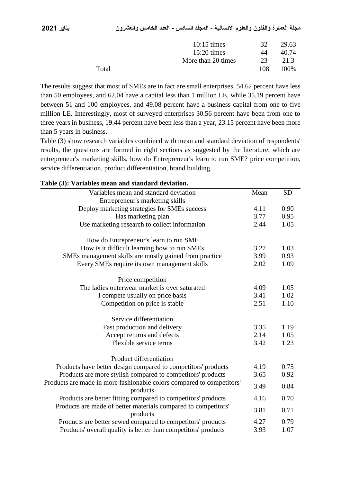|       | $10:15 \text{ times}$<br>$15:20 \text{ times}$<br>More than 20 times | 32<br>44<br>23 | 29.63<br>40.74<br>21.3 |
|-------|----------------------------------------------------------------------|----------------|------------------------|
| Total |                                                                      | 108            | 100%                   |
|       |                                                                      |                |                        |

The results suggest that most of SMEs are in fact are small enterprises, 54.62 percent have less than 50 employees, and 62.04 have a capital less than 1 million LE, while 35.19 percent have between 51 and 100 employees, and 49.08 percent have a business capital from one to five million LE. Interestingly, most of surveyed enterprises 30.56 percent have been from one to three years in business, 19.44 percent have been less than a year, 23.15 percent have been more than 5 years in business.

Table (3) show research variables combined with mean and standard deviation of respondents' results, the questions are formed in eight sections as suggested by the literature, which are entrepreneur's marketing skills, how do Entrepreneur's learn to run SME? price competition, service differentiation, product differentiation, brand building.

| <u>variables mean and standard deviatio</u>                                       |      |           |
|-----------------------------------------------------------------------------------|------|-----------|
| Variables mean and standard deviation                                             | Mean | <b>SD</b> |
| Entrepreneur's marketing skills                                                   |      |           |
| Deploy marketing strategies for SMEs success                                      | 4.11 | 0.90      |
| Has marketing plan                                                                | 3.77 | 0.95      |
| Use marketing research to collect information                                     | 2.44 | 1.05      |
| How do Entrepreneur's learn to run SME                                            |      |           |
| How is it difficult learning how to run SMEs                                      | 3.27 | 1.03      |
| SMEs management skills are mostly gained from practice                            | 3.99 | 0.93      |
| Every SMEs require its own management skills                                      | 2.02 | 1.09      |
| Price competition                                                                 |      |           |
| The ladies outerwear market is over saturated                                     | 4.09 | 1.05      |
| I compete usually on price basis                                                  | 3.41 | 1.02      |
| Competition on price is stable                                                    | 2.51 | 1.10      |
| Service differentiation                                                           |      |           |
| Fast production and delivery                                                      | 3.35 | 1.19      |
| Accept returns and defects                                                        | 2.14 | 1.05      |
| Flexible service terms                                                            | 3.42 | 1.23      |
| Product differentiation                                                           |      |           |
| Products have better design compared to competitors' products                     | 4.19 | 0.75      |
| Products are more stylish compared to competitors' products                       | 3.65 | 0.92      |
| Products are made in more fashionable colors compared to competitors'<br>products | 3.49 | 0.84      |
| Products are better fitting compared to competitors' products                     | 4.16 | 0.70      |
| Products are made of better materials compared to competitors'                    |      |           |
| products                                                                          | 3.81 | 0.71      |
| Products are better sewed compared to competitors' products                       | 4.27 | 0.79      |
| Products' overall quality is better than competitors' products                    | 3.93 | 1.07      |
|                                                                                   |      |           |

## **Table (3): Variables mean and standard deviation.**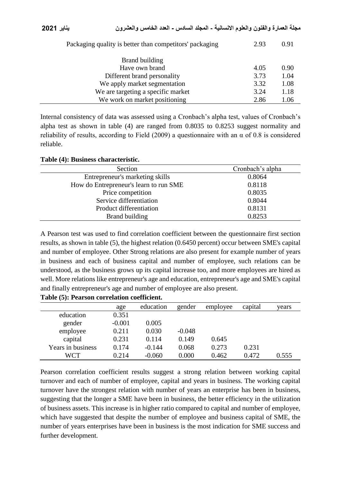| Packaging quality is better than competitors' packaging | 2.93 | 0.91 |
|---------------------------------------------------------|------|------|
| Brand building                                          |      |      |
| Have own brand                                          | 4.05 | 0.90 |
| Different brand personality                             | 3.73 | 1.04 |
| We apply market segmentation                            | 3.32 | 1.08 |
| We are targeting a specific market                      | 3.24 | 1.18 |
| We work on market positioning                           | 2.86 | 1.06 |
|                                                         |      |      |

Internal consistency of data was assessed using a Cronbach's alpha test, values of Cronbach's alpha test as shown in table (4) are ranged from 0.8035 to 0.8253 suggest normality and reliability of results, according to Field (2009) a questionnaire with an  $\alpha$  of 0.8 is considered reliable.

| Section                                | Cronbach's alpha |
|----------------------------------------|------------------|
| Entrepreneur's marketing skills        | 0.8064           |
| How do Entrepreneur's learn to run SME | 0.8118           |
| Price competition                      | 0.8035           |
| Service differentiation                | 0.8044           |
| Product differentiation                | 0.8131           |
| Brand building                         | 0.8253           |

A Pearson test was used to find correlation coefficient between the questionnaire first section results, as shown in table (5), the highest relation (0.6450 percent) occur between SME's capital and number of employee. Other Strong relations are also present for example number of years in business and each of business capital and number of employee, such relations can be understood, as the business grows up its capital increase too, and more employees are hired as well. More relations like entrepreneur's age and education, entrepreneur's age and SME's capital and finally entrepreneur's age and number of employee are also present.

|                   | age      | education | gender   | employee | capital | years |
|-------------------|----------|-----------|----------|----------|---------|-------|
| education         | 0.351    |           |          |          |         |       |
| gender            | $-0.001$ | 0.005     |          |          |         |       |
| employee          | 0.211    | 0.030     | $-0.048$ |          |         |       |
| capital           | 0.231    | 0.114     | 0.149    | 0.645    |         |       |
| Years in business | 0.174    | $-0.144$  | 0.068    | 0.273    | 0.231   |       |
| WCT               | 0.214    | $-0.060$  | 0.000    | 0.462    | 0.472   | 0.555 |

**Table (5): Pearson correlation coefficient.**

Pearson correlation coefficient results suggest a strong relation between working capital turnover and each of number of employee, capital and years in business. The working capital turnover have the strongest relation with number of years an enterprise has been in business, suggesting that the longer a SME have been in business, the better efficiency in the utilization of business assets. This increase is in higher ratio compared to capital and number of employee, which have suggested that despite the number of employee and business capital of SME, the number of years enterprises have been in business is the most indication for SME success and further development.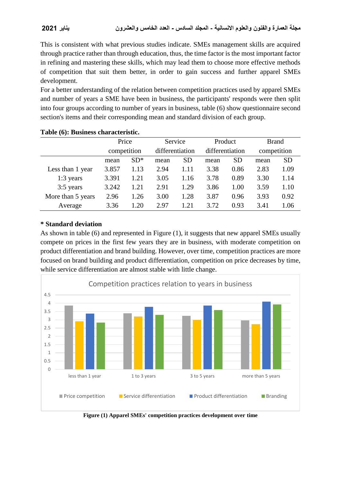This is consistent with what previous studies indicate. SMEs management skills are acquired through practice rather than through education, thus, the time factor is the most important factor in refining and mastering these skills, which may lead them to choose more effective methods of competition that suit them better, in order to gain success and further apparel SMEs development.

For a better understanding of the relation between competition practices used by apparel SMEs and number of years a SME have been in business, the participants' responds were then split into four groups according to number of years in business, table (6) show questionnaire second section's items and their corresponding mean and standard division of each group.

|                   | Price       |        | Service         |           | Product         |           | <b>Brand</b> |           |
|-------------------|-------------|--------|-----------------|-----------|-----------------|-----------|--------------|-----------|
|                   | competition |        | differentiation |           | differentiation |           | competition  |           |
|                   | mean        | $SD^*$ | mean            | <b>SD</b> | mean            | <b>SD</b> | mean         | <b>SD</b> |
| Less than 1 year  | 3.857       | 1.13   | 2.94            | 1.11      | 3.38            | 0.86      | 2.83         | 1.09      |
| $1:3$ years       | 3.391       | 1.21   | 3.05            | 1.16      | 3.78            | 0.89      | 3.30         | 1.14      |
| 3:5 years         | 3.242       | 1.21   | 2.91            | 1.29      | 3.86            | 1.00      | 3.59         | 1.10      |
| More than 5 years | 2.96        | 1.26   | 3.00            | 1.28      | 3.87            | 0.96      | 3.93         | 0.92      |
| Average           | 3.36        | 1.20   | 2.97            | 1.21      | 3.72            | 0.93      | 3.41         | 1.06      |

### **Table (6): Business characteristic.**

# **\* Standard deviation**

As shown in table (6) and represented in Figure (1), it suggests that new apparel SMEs usually compete on prices in the first few years they are in business, with moderate competition on product differentiation and brand building. However, over time, competition practices are more focused on brand building and product differentiation, competition on price decreases by time, while service differentiation are almost stable with little change.



**Figure (1) Apparel SMEs' competition practices development over time**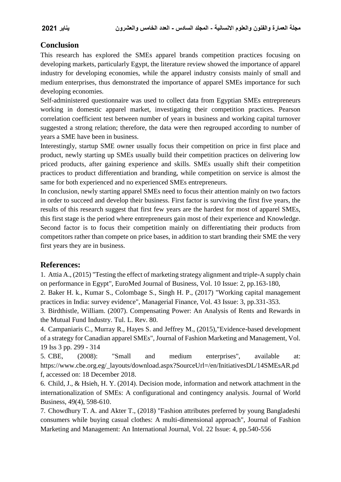# **Conclusion**

This research has explored the SMEs apparel brands competition practices focusing on developing markets, particularly Egypt, the literature review showed the importance of apparel industry for developing economies, while the apparel industry consists mainly of small and medium enterprises, thus demonstrated the importance of apparel SMEs importance for such developing economies.

Self-administered questionnaire was used to collect data from Egyptian SMEs entrepreneurs working in domestic apparel market, investigating their competition practices. Pearson correlation coefficient test between number of years in business and working capital turnover suggested a strong relation; therefore, the data were then regrouped according to number of years a SME have been in business.

Interestingly, startup SME owner usually focus their competition on price in first place and product, newly starting up SMEs usually build their competition practices on delivering low priced products, after gaining experience and skills. SMEs usually shift their competition practices to product differentiation and branding, while competition on service is almost the same for both experienced and no experienced SMEs entrepreneurs.

In conclusion, newly starting apparel SMEs need to focus their attention mainly on two factors in order to succeed and develop their business. First factor is surviving the first five years, the results of this research suggest that first few years are the hardest for most of apparel SMEs, this first stage is the period where entrepreneurs gain most of their experience and Knowledge. Second factor is to focus their competition mainly on differentiating their products from competitors rather than compete on price bases, in addition to start branding their SME the very first years they are in business.

# **References:**

1. Attia A., (2015) "Testing the effect of marketing strategy alignment and triple-A supply chain on performance in Egypt", EuroMed Journal of Business, Vol. 10 Issue: 2, pp.163-180,

2. Baker H. k., Kumar S., Colombage S., Singh H. P., (2017) "Working capital management practices in India: survey evidence", Managerial Finance, Vol. 43 Issue: 3, pp.331-353.

3. Birdthistle, William. (2007). Compensating Power: An Analysis of Rents and Rewards in the Mutual Fund Industry. Tul. L. Rev. 80.

4. Campaniaris C., Murray R., Hayes S. and Jeffrey M., (2015),"Evidence-based development of a strategy for Canadian apparel SMEs", Journal of Fashion Marketing and Management, Vol. 19 Iss 3 pp. 299 - 314

5. CBE, (2008): "Small and medium enterprises", available at: https://www.cbe.org.eg/\_layouts/download.aspx?SourceUrl=/en/InitiativesDL/14SMEsAR.pd f, accessed on: 18 December 2018.

6. Child, J., & Hsieh, H. Y. (2014). Decision mode, information and network attachment in the internationalization of SMEs: A configurational and contingency analysis. Journal of World Business, 49(4), 598-610.

7. Chowdhury T. A. and Akter T., (2018) "Fashion attributes preferred by young Bangladeshi consumers while buying casual clothes: A multi-dimensional approach", Journal of Fashion Marketing and Management: An International Journal, Vol. 22 Issue: 4, pp.540-556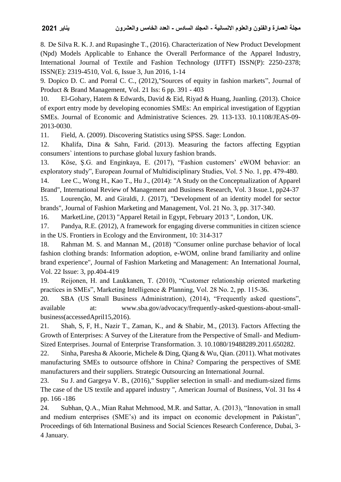8. De Silva R. K. J. and Rupasinghe T., (2016). Characterization of New Product Development (Npd) Models Applicable to Enhance the Overall Performance of the Apparel Industry, International Journal of Textile and Fashion Technology (IJTFT) ISSN(P): 2250-2378; ISSN(E): 2319-4510, Vol. 6, Issue 3, Jun 2016, 1-14

9. Dopico D. C. and Porral C. C., (2012),"Sources of equity in fashion markets", Journal of Product & Brand Management, Vol. 21 Iss: 6 pp. 391 - 403

10. El-Gohary, Hatem & Edwards, David & Eid, Riyad & Huang, Juanling. (2013). Choice of export entry mode by developing economies SMEs: An empirical investigation of Egyptian SMEs. Journal of Economic and Administrative Sciences. 29. 113-133. 10.1108/JEAS-09- 2013-0030.

11. Field, A. (2009). Discovering Statistics using SPSS. Sage: London.

12. Khalifa, Dina & Sahn, Farid. (2013). Measuring the factors affecting Egyptian consumers` intentions to purchase global luxury fashion brands.

13. Köse, Ş.G. and Enginkaya, E. (2017), "Fashion customers' eWOM behavior: an exploratory study", European Journal of Multidisciplinary Studies, Vol. 5 No. 1, pp. 479-480.

14. Lee C., Wong H., Kao T., Hu J., (2014): "A Study on the Conceptualization of Apparel Brand", International Review of Management and Business Research, Vol. 3 Issue.1, pp24-37

15. Lourenção, M. and Giraldi, J. (2017), "Development of an identity model for sector brands", Journal of Fashion Marketing and Management, Vol. 21 No. 3, pp. 317-340.

16. MarketLine, (2013) "Apparel Retail in Egypt, February 2013 ", London, UK.

17. Pandya, R.E. (2012), A framework for engaging diverse communities in citizen science in the US. Frontiers in Ecology and the Environment, 10: 314-317

18. Rahman M. S. and Mannan M., (2018) "Consumer online purchase behavior of local fashion clothing brands: Information adoption, e-WOM, online brand familiarity and online brand experience", Journal of Fashion Marketing and Management: An International Journal, Vol. 22 Issue: 3, pp.404-419

19. Reijonen, H. and Laukkanen, T. (2010), "Customer relationship oriented marketing practices in SMEs", Marketing Intelligence & Planning, Vol. 28 No. 2, pp. 115-36.

20. SBA (US Small Business Administration), (2014), "Frequently asked questions", available at: www.sba.gov/advocacy/frequently-asked-questions-about-smallbusiness(accessedApril15,2016).

21. Shah, S, F, H., Nazir T., Zaman, K., and & Shabir, M., (2013). Factors Affecting the Growth of Enterprises: A Survey of the Literature from the Perspective of Small- and Medium-Sized Enterprises. Journal of Enterprise Transformation. 3. 10.1080/19488289.2011.650282.

22. Sinha, Paresha & Akoorie, Michele & Ding, Qiang & Wu, Qian. (2011). What motivates manufacturing SMEs to outsource offshore in China? Comparing the perspectives of SME manufacturers and their suppliers. Strategic Outsourcing an International Journal.

23. Su J. and Gargeya V. B., (2016)," Supplier selection in small- and medium-sized firms The case of the US textile and apparel industry ", American Journal of Business, Vol. 31 Iss 4 pp. 166 -186

24. Subhan, Q.A., Mian Rahat Mehmood, M.R. and Sattar, A. (2013), "Innovation in small and medium enterprises (SME's) and its impact on economic development in Pakistan", Proceedings of 6th International Business and Social Sciences Research Conference, Dubai, 3- 4 January.